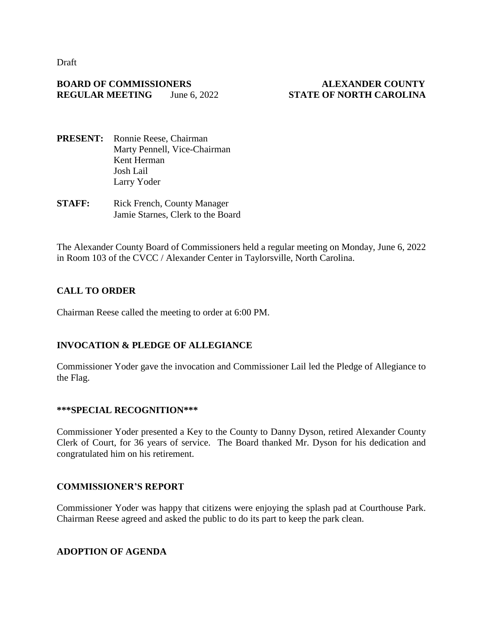Draft

## **BOARD OF COMMISSIONERS ALEXANDER COUNTY REGULAR MEETING** June 6, 2022 **STATE OF NORTH CAROLINA**

- **PRESENT:** Ronnie Reese, Chairman Marty Pennell, Vice-Chairman Kent Herman Josh Lail Larry Yoder
- **STAFF:** Rick French, County Manager Jamie Starnes, Clerk to the Board

The Alexander County Board of Commissioners held a regular meeting on Monday, June 6, 2022 in Room 103 of the CVCC / Alexander Center in Taylorsville, North Carolina.

## **CALL TO ORDER**

Chairman Reese called the meeting to order at 6:00 PM.

## **INVOCATION & PLEDGE OF ALLEGIANCE**

Commissioner Yoder gave the invocation and Commissioner Lail led the Pledge of Allegiance to the Flag.

## **\*\*\*SPECIAL RECOGNITION\*\*\***

Commissioner Yoder presented a Key to the County to Danny Dyson, retired Alexander County Clerk of Court, for 36 years of service. The Board thanked Mr. Dyson for his dedication and congratulated him on his retirement.

## **COMMISSIONER'S REPORT**

Commissioner Yoder was happy that citizens were enjoying the splash pad at Courthouse Park. Chairman Reese agreed and asked the public to do its part to keep the park clean.

## **ADOPTION OF AGENDA**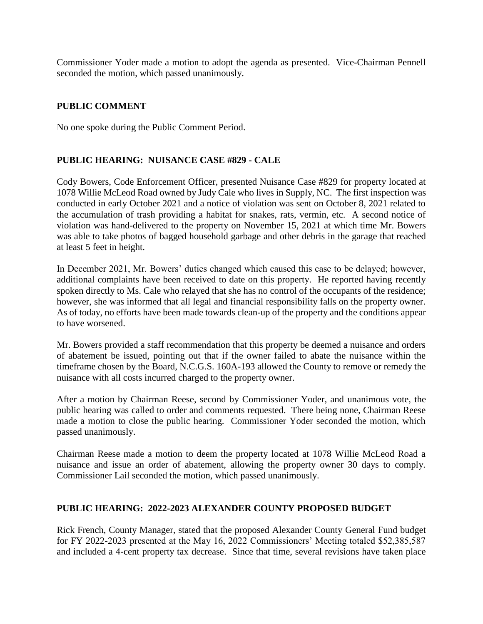Commissioner Yoder made a motion to adopt the agenda as presented. Vice-Chairman Pennell seconded the motion, which passed unanimously.

## **PUBLIC COMMENT**

No one spoke during the Public Comment Period.

## **PUBLIC HEARING: NUISANCE CASE #829 - CALE**

Cody Bowers, Code Enforcement Officer, presented Nuisance Case #829 for property located at 1078 Willie McLeod Road owned by Judy Cale who lives in Supply, NC. The first inspection was conducted in early October 2021 and a notice of violation was sent on October 8, 2021 related to the accumulation of trash providing a habitat for snakes, rats, vermin, etc. A second notice of violation was hand-delivered to the property on November 15, 2021 at which time Mr. Bowers was able to take photos of bagged household garbage and other debris in the garage that reached at least 5 feet in height.

In December 2021, Mr. Bowers' duties changed which caused this case to be delayed; however, additional complaints have been received to date on this property. He reported having recently spoken directly to Ms. Cale who relayed that she has no control of the occupants of the residence; however, she was informed that all legal and financial responsibility falls on the property owner. As of today, no efforts have been made towards clean-up of the property and the conditions appear to have worsened.

Mr. Bowers provided a staff recommendation that this property be deemed a nuisance and orders of abatement be issued, pointing out that if the owner failed to abate the nuisance within the timeframe chosen by the Board, N.C.G.S. 160A-193 allowed the County to remove or remedy the nuisance with all costs incurred charged to the property owner.

After a motion by Chairman Reese, second by Commissioner Yoder, and unanimous vote, the public hearing was called to order and comments requested. There being none, Chairman Reese made a motion to close the public hearing. Commissioner Yoder seconded the motion, which passed unanimously.

Chairman Reese made a motion to deem the property located at 1078 Willie McLeod Road a nuisance and issue an order of abatement, allowing the property owner 30 days to comply. Commissioner Lail seconded the motion, which passed unanimously.

## **PUBLIC HEARING: 2022-2023 ALEXANDER COUNTY PROPOSED BUDGET**

Rick French, County Manager, stated that the proposed Alexander County General Fund budget for FY 2022-2023 presented at the May 16, 2022 Commissioners' Meeting totaled \$52,385,587 and included a 4-cent property tax decrease. Since that time, several revisions have taken place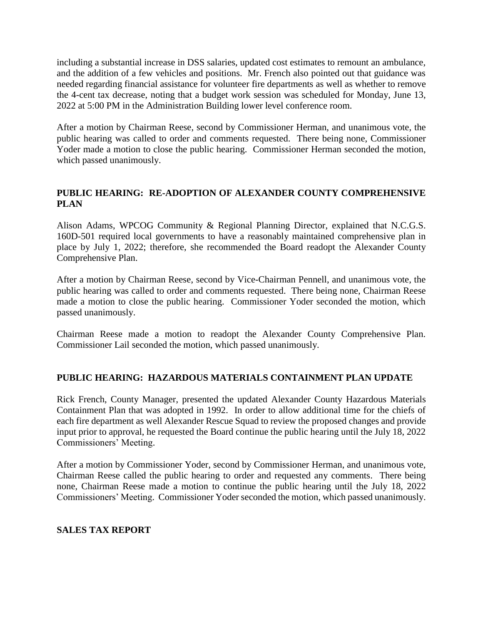including a substantial increase in DSS salaries, updated cost estimates to remount an ambulance, and the addition of a few vehicles and positions. Mr. French also pointed out that guidance was needed regarding financial assistance for volunteer fire departments as well as whether to remove the 4-cent tax decrease, noting that a budget work session was scheduled for Monday, June 13, 2022 at 5:00 PM in the Administration Building lower level conference room.

After a motion by Chairman Reese, second by Commissioner Herman, and unanimous vote, the public hearing was called to order and comments requested. There being none, Commissioner Yoder made a motion to close the public hearing. Commissioner Herman seconded the motion, which passed unanimously.

# **PUBLIC HEARING: RE-ADOPTION OF ALEXANDER COUNTY COMPREHENSIVE PLAN**

Alison Adams, WPCOG Community & Regional Planning Director, explained that N.C.G.S. 160D-501 required local governments to have a reasonably maintained comprehensive plan in place by July 1, 2022; therefore, she recommended the Board readopt the Alexander County Comprehensive Plan.

After a motion by Chairman Reese, second by Vice-Chairman Pennell, and unanimous vote, the public hearing was called to order and comments requested. There being none, Chairman Reese made a motion to close the public hearing. Commissioner Yoder seconded the motion, which passed unanimously.

Chairman Reese made a motion to readopt the Alexander County Comprehensive Plan. Commissioner Lail seconded the motion, which passed unanimously.

## **PUBLIC HEARING: HAZARDOUS MATERIALS CONTAINMENT PLAN UPDATE**

Rick French, County Manager, presented the updated Alexander County Hazardous Materials Containment Plan that was adopted in 1992. In order to allow additional time for the chiefs of each fire department as well Alexander Rescue Squad to review the proposed changes and provide input prior to approval, he requested the Board continue the public hearing until the July 18, 2022 Commissioners' Meeting.

After a motion by Commissioner Yoder, second by Commissioner Herman, and unanimous vote, Chairman Reese called the public hearing to order and requested any comments. There being none, Chairman Reese made a motion to continue the public hearing until the July 18, 2022 Commissioners' Meeting. Commissioner Yoder seconded the motion, which passed unanimously.

## **SALES TAX REPORT**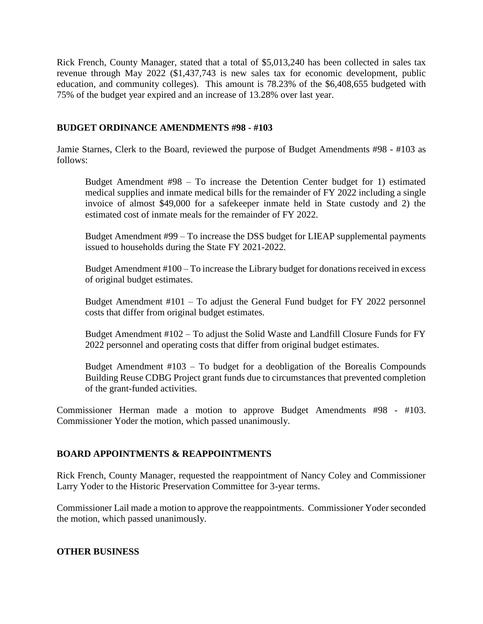Rick French, County Manager, stated that a total of \$5,013,240 has been collected in sales tax revenue through May 2022 (\$1,437,743 is new sales tax for economic development, public education, and community colleges). This amount is 78.23% of the \$6,408,655 budgeted with 75% of the budget year expired and an increase of 13.28% over last year.

#### **BUDGET ORDINANCE AMENDMENTS #98 - #103**

Jamie Starnes, Clerk to the Board, reviewed the purpose of Budget Amendments #98 - #103 as follows:

Budget Amendment #98 – To increase the Detention Center budget for 1) estimated medical supplies and inmate medical bills for the remainder of FY 2022 including a single invoice of almost \$49,000 for a safekeeper inmate held in State custody and 2) the estimated cost of inmate meals for the remainder of FY 2022.

Budget Amendment #99 – To increase the DSS budget for LIEAP supplemental payments issued to households during the State FY 2021-2022.

Budget Amendment #100 – To increase the Library budget for donations received in excess of original budget estimates.

Budget Amendment #101 – To adjust the General Fund budget for FY 2022 personnel costs that differ from original budget estimates.

Budget Amendment #102 – To adjust the Solid Waste and Landfill Closure Funds for FY 2022 personnel and operating costs that differ from original budget estimates.

Budget Amendment #103 – To budget for a deobligation of the Borealis Compounds Building Reuse CDBG Project grant funds due to circumstances that prevented completion of the grant-funded activities.

Commissioner Herman made a motion to approve Budget Amendments #98 - #103. Commissioner Yoder the motion, which passed unanimously.

## **BOARD APPOINTMENTS & REAPPOINTMENTS**

Rick French, County Manager, requested the reappointment of Nancy Coley and Commissioner Larry Yoder to the Historic Preservation Committee for 3-year terms.

Commissioner Lail made a motion to approve the reappointments. Commissioner Yoder seconded the motion, which passed unanimously.

#### **OTHER BUSINESS**